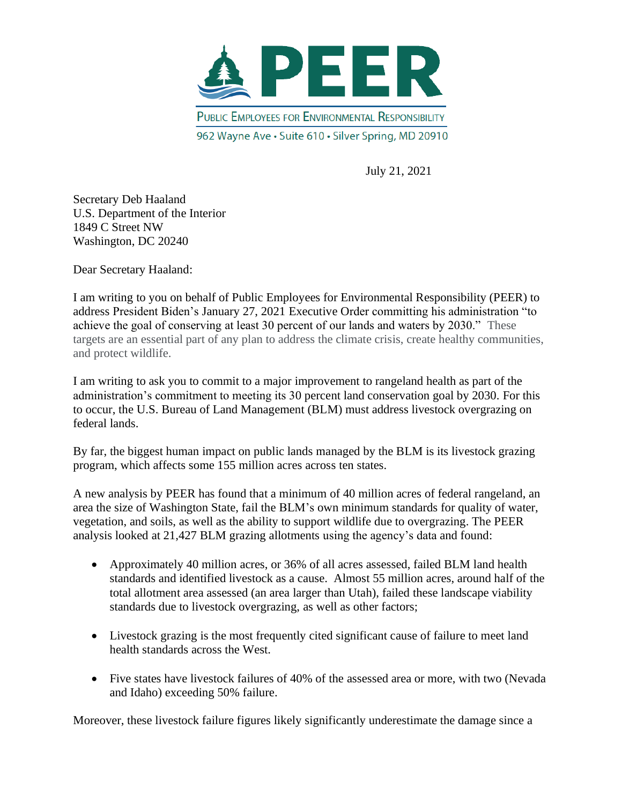

July 21, 2021

Secretary Deb Haaland U.S. Department of the Interior 1849 C Street NW Washington, DC 20240

Dear Secretary Haaland:

I am writing to you on behalf of Public Employees for Environmental Responsibility (PEER) to address President Biden's January 27, 2021 Executive Order committing his administration "to achieve the goal of conserving at least 30 percent of our lands and waters by 2030." These targets are an essential part of any plan to address the climate crisis, create healthy communities, and protect wildlife.

I am writing to ask you to commit to a major improvement to rangeland health as part of the administration's commitment to meeting its 30 percent land conservation goal by 2030. For this to occur, the U.S. Bureau of Land Management (BLM) must address livestock overgrazing on federal lands.

By far, the biggest human impact on public lands managed by the BLM is its livestock grazing program, which affects some 155 million acres across ten states.

A new analysis by PEER has found that a minimum of 40 million acres of federal rangeland, an area the size of Washington State, fail the BLM's own minimum standards for quality of water, vegetation, and soils, as well as the ability to support wildlife due to overgrazing. The PEER analysis looked at 21,427 BLM grazing allotments using the agency's data and found:

- Approximately 40 million acres, or 36% of all acres assessed, failed BLM land health standards and identified livestock as a cause. Almost 55 million acres, around half of the total allotment area assessed (an area larger than Utah), failed these landscape viability standards due to livestock overgrazing, as well as other factors;
- Livestock grazing is the most frequently cited significant cause of failure to meet land health standards across the West.
- Five states have livestock failures of 40% of the assessed area or more, with two (Nevada) and Idaho) exceeding 50% failure.

Moreover, these livestock failure figures likely significantly underestimate the damage since a